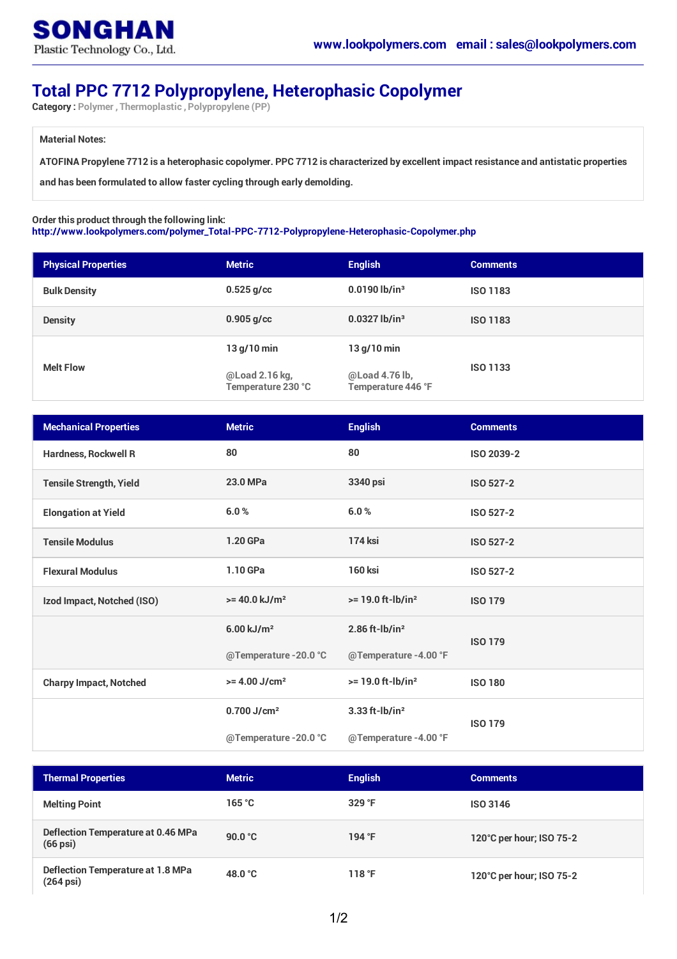## **Total PPC 7712 Polypropylene, Heterophasic Copolymer**

**Category : Polymer , Thermoplastic , Polypropylene (PP)**

## **Material Notes:**

ATOFINA Propylene 7712 is a heterophasic copolymer. PPC 7712 is characterized by excellent impact resistance and antistatic properties

**and has been formulated to allow faster cycling through early demolding.**

## **Order this product through the following link:**

**[http://www.lookpolymers.com/polymer\\_Total-PPC-7712-Polypropylene-Heterophasic-Copolymer.php](http://www.lookpolymers.com/polymer_Total-PPC-7712-Polypropylene-Heterophasic-Copolymer.php)**

| <b>Physical Properties</b> | <b>Metric</b>                        | <b>English</b>                       | <b>Comments</b> |
|----------------------------|--------------------------------------|--------------------------------------|-----------------|
| <b>Bulk Density</b>        | $0.525$ g/cc                         | $0.0190$ lb/in <sup>3</sup>          | <b>ISO 1183</b> |
| <b>Density</b>             | $0.905$ g/cc                         | $0.0327$ lb/in <sup>3</sup>          | <b>ISO 1183</b> |
| <b>Melt Flow</b>           | $13$ g/10 min                        | $13$ g/10 min                        | <b>ISO 1133</b> |
|                            | @Load 2.16 kg,<br>Temperature 230 °C | @Load 4.76 lb,<br>Temperature 446 °F |                 |

| <b>Mechanical Properties</b>   | <b>Metric</b>               | <b>English</b>                  | <b>Comments</b>  |
|--------------------------------|-----------------------------|---------------------------------|------------------|
| <b>Hardness, Rockwell R</b>    | 80                          | 80                              | ISO 2039-2       |
| <b>Tensile Strength, Yield</b> | 23.0 MPa                    | 3340 psi                        | <b>ISO 527-2</b> |
| <b>Elongation at Yield</b>     | 6.0%                        | 6.0%                            | <b>ISO 527-2</b> |
| <b>Tensile Modulus</b>         | 1.20 GPa                    | <b>174 ksi</b>                  | <b>ISO 527-2</b> |
| <b>Flexural Modulus</b>        | 1.10 GPa                    | <b>160 ksi</b>                  | <b>ISO 527-2</b> |
| Izod Impact, Notched (ISO)     | $>= 40.0$ kJ/m <sup>2</sup> | $>= 19.0$ ft-lb/in <sup>2</sup> | <b>ISO 179</b>   |
|                                | $6.00 \text{ kJ/m}^2$       | $2.86$ ft-lb/in <sup>2</sup>    | <b>ISO 179</b>   |
|                                | @Temperature -20.0 °C       | @Temperature -4.00 °F           |                  |
| <b>Charpy Impact, Notched</b>  | $>= 4.00$ J/cm <sup>2</sup> | $>= 19.0$ ft-lb/in <sup>2</sup> | <b>ISO 180</b>   |
|                                | $0.700$ J/cm <sup>2</sup>   | $3.33$ ft-lb/in <sup>2</sup>    | <b>ISO 179</b>   |
|                                | @Temperature -20.0 °C       | @Temperature -4.00 °F           |                  |

| <b>Thermal Properties</b>                                   | <b>Metric</b>     | <b>English</b> | <b>Comments</b>          |
|-------------------------------------------------------------|-------------------|----------------|--------------------------|
| <b>Melting Point</b>                                        | 165 °C            | $329$ °F       | <b>ISO 3146</b>          |
| Deflection Temperature at 0.46 MPa<br>$(66 \,\mathrm{psi})$ | 90.0 $^{\circ}$ C | 194 °F         | 120°C per hour; ISO 75-2 |
| Deflection Temperature at 1.8 MPa<br>$(264 \,\text{psi})$   | 48.0 $^{\circ}$ C | 118 °F         | 120°C per hour; ISO 75-2 |